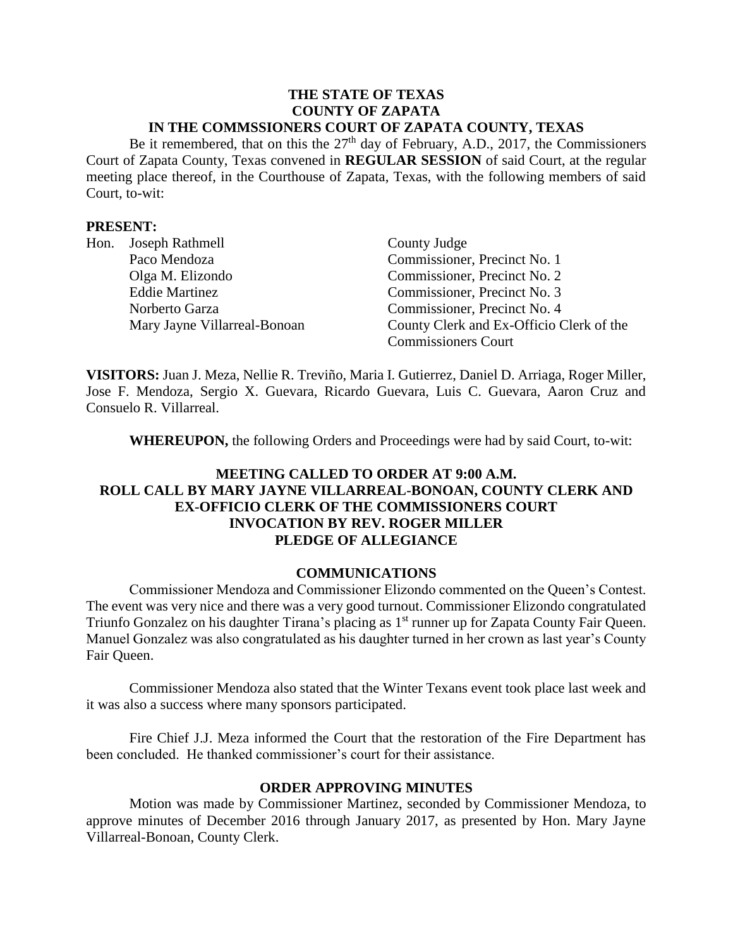### **THE STATE OF TEXAS COUNTY OF ZAPATA IN THE COMMSSIONERS COURT OF ZAPATA COUNTY, TEXAS**

Be it remembered, that on this the  $27<sup>th</sup>$  day of February, A.D., 2017, the Commissioners Court of Zapata County, Texas convened in **REGULAR SESSION** of said Court, at the regular meeting place thereof, in the Courthouse of Zapata, Texas, with the following members of said Court, to-wit:

### **PRESENT:**

| Hon. | Joseph Rathmell              | County Judge                             |
|------|------------------------------|------------------------------------------|
|      | Paco Mendoza                 | Commissioner, Precinct No. 1             |
|      | Olga M. Elizondo             | Commissioner, Precinct No. 2             |
|      | <b>Eddie Martinez</b>        | Commissioner, Precinct No. 3             |
|      | Norberto Garza               | Commissioner, Precinct No. 4             |
|      | Mary Jayne Villarreal-Bonoan | County Clerk and Ex-Officio Clerk of the |
|      |                              | <b>Commissioners Court</b>               |

**VISITORS:** Juan J. Meza, Nellie R. Treviño, Maria I. Gutierrez, Daniel D. Arriaga, Roger Miller, Jose F. Mendoza, Sergio X. Guevara, Ricardo Guevara, Luis C. Guevara, Aaron Cruz and Consuelo R. Villarreal.

**WHEREUPON,** the following Orders and Proceedings were had by said Court, to-wit:

# **MEETING CALLED TO ORDER AT 9:00 A.M. ROLL CALL BY MARY JAYNE VILLARREAL-BONOAN, COUNTY CLERK AND EX-OFFICIO CLERK OF THE COMMISSIONERS COURT INVOCATION BY REV. ROGER MILLER PLEDGE OF ALLEGIANCE**

## **COMMUNICATIONS**

Commissioner Mendoza and Commissioner Elizondo commented on the Queen's Contest. The event was very nice and there was a very good turnout. Commissioner Elizondo congratulated Triunfo Gonzalez on his daughter Tirana's placing as 1<sup>st</sup> runner up for Zapata County Fair Queen. Manuel Gonzalez was also congratulated as his daughter turned in her crown as last year's County Fair Queen.

Commissioner Mendoza also stated that the Winter Texans event took place last week and it was also a success where many sponsors participated.

Fire Chief J.J. Meza informed the Court that the restoration of the Fire Department has been concluded. He thanked commissioner's court for their assistance.

#### **ORDER APPROVING MINUTES**

Motion was made by Commissioner Martinez, seconded by Commissioner Mendoza, to approve minutes of December 2016 through January 2017, as presented by Hon. Mary Jayne Villarreal-Bonoan, County Clerk.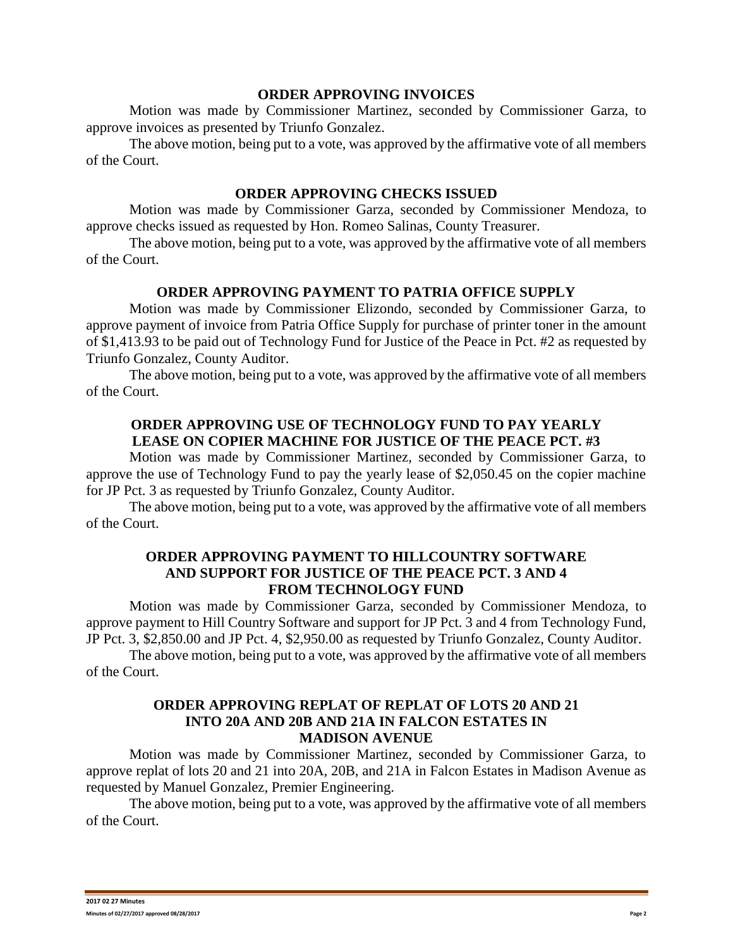#### **ORDER APPROVING INVOICES**

Motion was made by Commissioner Martinez, seconded by Commissioner Garza, to approve invoices as presented by Triunfo Gonzalez.

The above motion, being put to a vote, was approved by the affirmative vote of all members of the Court.

#### **ORDER APPROVING CHECKS ISSUED**

Motion was made by Commissioner Garza, seconded by Commissioner Mendoza, to approve checks issued as requested by Hon. Romeo Salinas, County Treasurer.

The above motion, being put to a vote, was approved by the affirmative vote of all members of the Court.

### **ORDER APPROVING PAYMENT TO PATRIA OFFICE SUPPLY**

Motion was made by Commissioner Elizondo, seconded by Commissioner Garza, to approve payment of invoice from Patria Office Supply for purchase of printer toner in the amount of \$1,413.93 to be paid out of Technology Fund for Justice of the Peace in Pct. #2 as requested by Triunfo Gonzalez, County Auditor.

The above motion, being put to a vote, was approved by the affirmative vote of all members of the Court.

## **ORDER APPROVING USE OF TECHNOLOGY FUND TO PAY YEARLY LEASE ON COPIER MACHINE FOR JUSTICE OF THE PEACE PCT. #3**

Motion was made by Commissioner Martinez, seconded by Commissioner Garza, to approve the use of Technology Fund to pay the yearly lease of \$2,050.45 on the copier machine for JP Pct. 3 as requested by Triunfo Gonzalez, County Auditor.

The above motion, being put to a vote, was approved by the affirmative vote of all members of the Court.

### **ORDER APPROVING PAYMENT TO HILLCOUNTRY SOFTWARE AND SUPPORT FOR JUSTICE OF THE PEACE PCT. 3 AND 4 FROM TECHNOLOGY FUND**

Motion was made by Commissioner Garza, seconded by Commissioner Mendoza, to approve payment to Hill Country Software and support for JP Pct. 3 and 4 from Technology Fund, JP Pct. 3, \$2,850.00 and JP Pct. 4, \$2,950.00 as requested by Triunfo Gonzalez, County Auditor.

The above motion, being put to a vote, was approved by the affirmative vote of all members of the Court.

### **ORDER APPROVING REPLAT OF REPLAT OF LOTS 20 AND 21 INTO 20A AND 20B AND 21A IN FALCON ESTATES IN MADISON AVENUE**

Motion was made by Commissioner Martinez, seconded by Commissioner Garza, to approve replat of lots 20 and 21 into 20A, 20B, and 21A in Falcon Estates in Madison Avenue as requested by Manuel Gonzalez, Premier Engineering.

The above motion, being put to a vote, was approved by the affirmative vote of all members of the Court.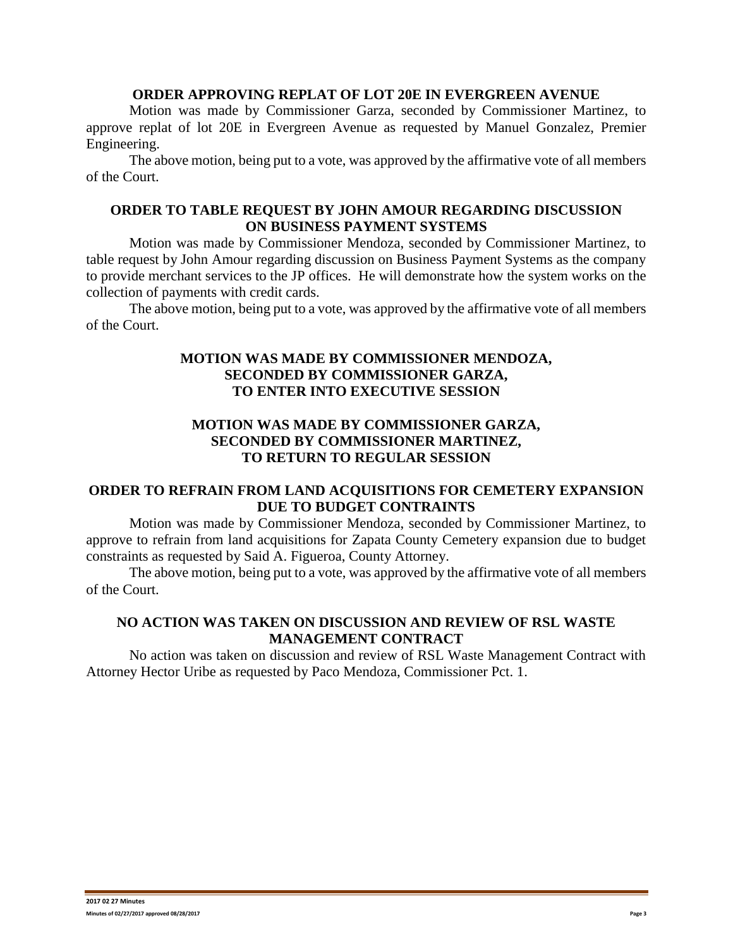### **ORDER APPROVING REPLAT OF LOT 20E IN EVERGREEN AVENUE**

Motion was made by Commissioner Garza, seconded by Commissioner Martinez, to approve replat of lot 20E in Evergreen Avenue as requested by Manuel Gonzalez, Premier Engineering.

The above motion, being put to a vote, was approved by the affirmative vote of all members of the Court.

## **ORDER TO TABLE REQUEST BY JOHN AMOUR REGARDING DISCUSSION ON BUSINESS PAYMENT SYSTEMS**

Motion was made by Commissioner Mendoza, seconded by Commissioner Martinez, to table request by John Amour regarding discussion on Business Payment Systems as the company to provide merchant services to the JP offices. He will demonstrate how the system works on the collection of payments with credit cards.

The above motion, being put to a vote, was approved by the affirmative vote of all members of the Court.

# **MOTION WAS MADE BY COMMISSIONER MENDOZA, SECONDED BY COMMISSIONER GARZA, TO ENTER INTO EXECUTIVE SESSION**

# **MOTION WAS MADE BY COMMISSIONER GARZA, SECONDED BY COMMISSIONER MARTINEZ, TO RETURN TO REGULAR SESSION**

# **ORDER TO REFRAIN FROM LAND ACQUISITIONS FOR CEMETERY EXPANSION DUE TO BUDGET CONTRAINTS**

Motion was made by Commissioner Mendoza, seconded by Commissioner Martinez, to approve to refrain from land acquisitions for Zapata County Cemetery expansion due to budget constraints as requested by Said A. Figueroa, County Attorney.

The above motion, being put to a vote, was approved by the affirmative vote of all members of the Court.

## **NO ACTION WAS TAKEN ON DISCUSSION AND REVIEW OF RSL WASTE MANAGEMENT CONTRACT**

No action was taken on discussion and review of RSL Waste Management Contract with Attorney Hector Uribe as requested by Paco Mendoza, Commissioner Pct. 1.